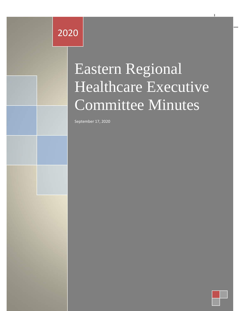# Eastern Regional Healthcare 2020

Minuts

# Executive Committee Committee Committee Committee Committee Committee Committee Committee Committee Committee Minutes Eastern Regional Healthcare Executive Committee Minutes

Eastern Regional Healthcare Executive Committee Minutes 2020

September 17, 2020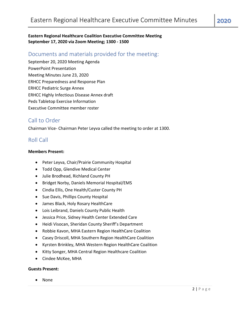## **Eastern Regional Healthcare Coalition Executive Committee Meeting September 17, 2020 via Zoom Meeting; 1300 - 1500**

# Documents and materials provided for the meeting:

September 20, 2020 Meeting Agenda PowerPoint Presentation Meeting Minutes June 23, 2020 ERHCC Preparedness and Response Plan ERHCC Pediatric Surge Annex ERHCC Highly Infectious Disease Annex draft Peds Tabletop Exercise Information Executive Committee member roster

# Call to Order

Chairman Vice- Chairman Peter Leyva called the meeting to order at 1300.

# Roll Call

#### **Members Present:**

- Peter Leyva, Chair/Prairie Community Hospital
- Todd Opp, Glendive Medical Center
- Julie Brodhead, Richland County PH
- Bridget Norby, Daniels Memorial Hospital/EMS
- Cindia Ellis, One Health/Custer County PH
- Sue Davis, Phillips County Hospital
- James Black, Holy Rosary HealthCare
- Lois Leibrand, Daniels County Public Health
- Jessica Price, Sidney Health Center Extended Care
- Heidi Visocan, Sheridan County Sheriff's Department
- Robbie Kavon, MHA Eastern Region HealthCare Coalition
- Casey Driscoll, MHA Southern Region HealthCare Coalition
- Kyrsten Brinkley, MHA Western Region HealthCare Coalition
- Kitty Songer, MHA Central Region Healthcare Coalition
- Cindee McKee, MHA

#### **Guests Present:**

• None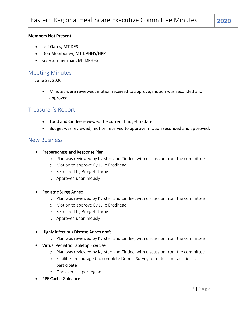#### **Members Not Present:**

- Jeff Gates, MT DES
- Don McGiboney, MT DPHHS/HPP
- Gary Zimmerman, MT DPHHS

## Meeting Minutes

June 23, 2020

• Minutes were reviewed, motion received to approve, motion was seconded and approved.

# Treasurer's Report

- Todd and Cindee reviewed the current budget to date.
- Budget was reviewed, motion received to approve, motion seconded and approved.

## New Business

- Preparedness and Response Plan
	- o Plan was reviewed by Kyrsten and Cindee, with discussion from the committee
	- o Motion to approve By Julie Brodhead
	- o Seconded by Bridget Norby
	- o Approved unanimously

#### • Pediatric Surge Annex

- o Plan was reviewed by Kyrsten and Cindee, with discussion from the committee
- o Motion to approve By Julie Brodhead
- o Seconded by Bridget Norby
- o Approved unanimously
- Highly Infectious Disease Annex draft
	- o Plan was reviewed by Kyrsten and Cindee, with discussion from the committee
- Virtual Pediatric Tabletop Exercise
	- o Plan was reviewed by Kyrsten and Cindee, with discussion from the committee
	- o Facilities encouraged to complete Doodle Survey for dates and facilities to participate
	- o One exercise per region
- PPE Cache Guidance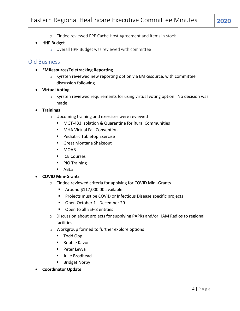o Cindee reviewed PPE Cache Host Agreement and items in stock

#### • HHP Budget

o Overall HPP Budget was reviewed with committee

## Old Business

- **EMResource/Teletracking Reporting**
	- o Kyrsten reviewed new reporting option via EMResource, with committee discussion following
- **Virtual Voting**
	- $\circ$  Kyrsten reviewed requirements for using virtual voting option. No decision was made
- **Trainings** 
	- o Upcoming training and exercises were reviewed
		- MGT-433 Isolation & Quarantine for Rural Communities
		- MHA Virtual Fall Convention
		- Pediatric Tabletop Exercise
		- Great Montana Shakeout
		- MOAB
		- ICE Courses
		- PIO Training
		- ABLS

#### • **COVID Mini-Grants**

- o Cindee reviewed criteria for applying for COVID Mini-Grants
	- Around \$117,000.00 available
	- Projects must be COVID or Infectious Disease specific projects
	- Open October 1 December 20
	- Open to all ESF-8 entities
- o Discussion about projects for supplying PAPRs and/or HAM Radios to regional facilities
- o Workgroup formed to further explore options
	- Todd Opp
	- Robbie Kavon
	- Peter Leyva
	- Julie Brodhead
	- Bridget Norby
- **Coordinator Update**